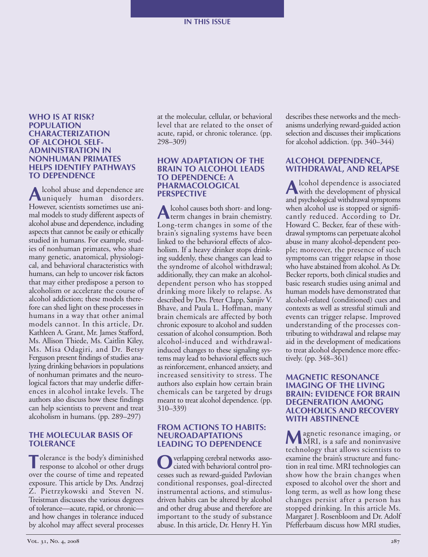#### **WHO IS AT RISK? POPULATION CHARACTERIZATION OF ALCOHOL SELF-ADMINISTRATION IN NONHUMAN PRIMATES HELPS IDENTIFY PATHWAYS TO DEPENDENCE**

**A**lcohol abuse and dependence are uniquely human disorders. However, scientists sometimes use animal models to study different aspects of alcohol abuse and dependence, including aspects that cannot be easily or ethically studied in humans. For example, studies of nonhuman primates, who share many genetic, anatomical, physiological, and behavioral characteristics with humans, can help to uncover risk factors that may either predispose a person to alcoholism or accelerate the course of alcohol addiction; these models therefore can shed light on these processes in humans in a way that other animal models cannot. In this article, Dr. Kathleen A. Grant, Mr. James Stafford, Ms. Allison Thiede, Ms. Caitlin Kiley, Ms. Misa Odagiri, and Dr. Betsy Ferguson present findings of studies analyzing drinking behaviors in populations of nonhuman primates and the neurological factors that may underlie differences in alcohol intake levels. The authors also discuss how these findings can help scientists to prevent and treat alcoholism in humans. (pp. 289–297)

# **THE MOLECULAR BASIS OF TOLERANCE**

**T**olerance is the body's diminished response to alcohol or other drugs over the course of time and repeated exposure. This article by Drs. Andrzej Z. Pietrzykowski and Steven N. Treistman discusses the various degrees of tolerance—acute, rapid, or chronic and how changes in tolerance induced by alcohol may affect several processes

at the molecular, cellular, or behavioral level that are related to the onset of acute, rapid, or chronic tolerance. (pp. 298–309)

### **HOW ADAPTATION OF THE BRAIN TO ALCOHOL LEADS TO DEPENDENCE: A PHARMACOLOGICAL PERSPECTIVE**

**A** lcohol causes both short- and long-Long-term changes in some of the brain's signaling systems have been linked to the behavioral effects of alcoholism. If a heavy drinker stops drinking suddenly, these changes can lead to the syndrome of alcohol withdrawal; additionally, they can make an alcoholdependent person who has stopped drinking more likely to relapse. As described by Drs. Peter Clapp, Sanjiv V. Bhave, and Paula L. Hoffman, many brain chemicals are affected by both chronic exposure to alcohol and sudden cessation of alcohol consumption. Both alcohol-induced and withdrawalinduced changes to these signaling systems may lead to behavioral effects such as reinforcement, enhanced anxiety, and increased sensitivity to stress. The authors also explain how certain brain chemicals can be targeted by drugs meant to treat alcohol dependence. (pp. 310–339)

#### **FROM ACTIONS TO HABITS: NEUROADAPTATIONS LEADING TO DEPENDENCE**

**N** verlapping cerebral networks associated with behavioral control processes such as reward-guided Pavlovian conditional responses, goal-directed instrumental actions, and stimulusdriven habits can be altered by alcohol and other drug abuse and therefore are important to the study of substance abuse. In this article, Dr. Henry H. Yin

describes these networks and the mechanisms underlying reward-guided action selection and discusses their implications for alcohol addiction. (pp. 340–344)

# **ALCOHOL DEPENDENCE, WITHDRAWAL, AND RELAPSE**

**A**lcohol dependence is associated with the development of physical and psychological withdrawal symptoms when alcohol use is stopped or significantly reduced. According to Dr. Howard C. Becker, fear of these withdrawal symptoms can perpetuate alcohol abuse in many alcohol-dependent people; moreover, the presence of such symptoms can trigger relapse in those who have abstained from alcohol. As Dr. Becker reports, both clinical studies and basic research studies using animal and human models have demonstrated that alcohol-related (conditioned) cues and contexts as well as stressful stimuli and events can trigger relapse. Improved understanding of the processes contributing to withdrawal and relapse may aid in the development of medications to treat alcohol dependence more effectively. (pp. 348–361)

### **MAGNETIC RESONANCE IMAGING OF THE LIVING BRAIN: EVIDENCE FOR BRAIN DEGENERATION AMONG ALCOHOLICS AND RECOVERY WITH ABSTINENCE**

**M**agnetic resonance imaging, or MRI, is a safe and noninvasive technology that allows scientists to examine the brain's structure and function in real time. MRI technologies can show how the brain changes when exposed to alcohol over the short and long term, as well as how long these changes persist after a person has stopped drinking. In this article Ms. Margaret J. Rosenbloom and Dr. Adolf Pfefferbaum discuss how MRI studies,